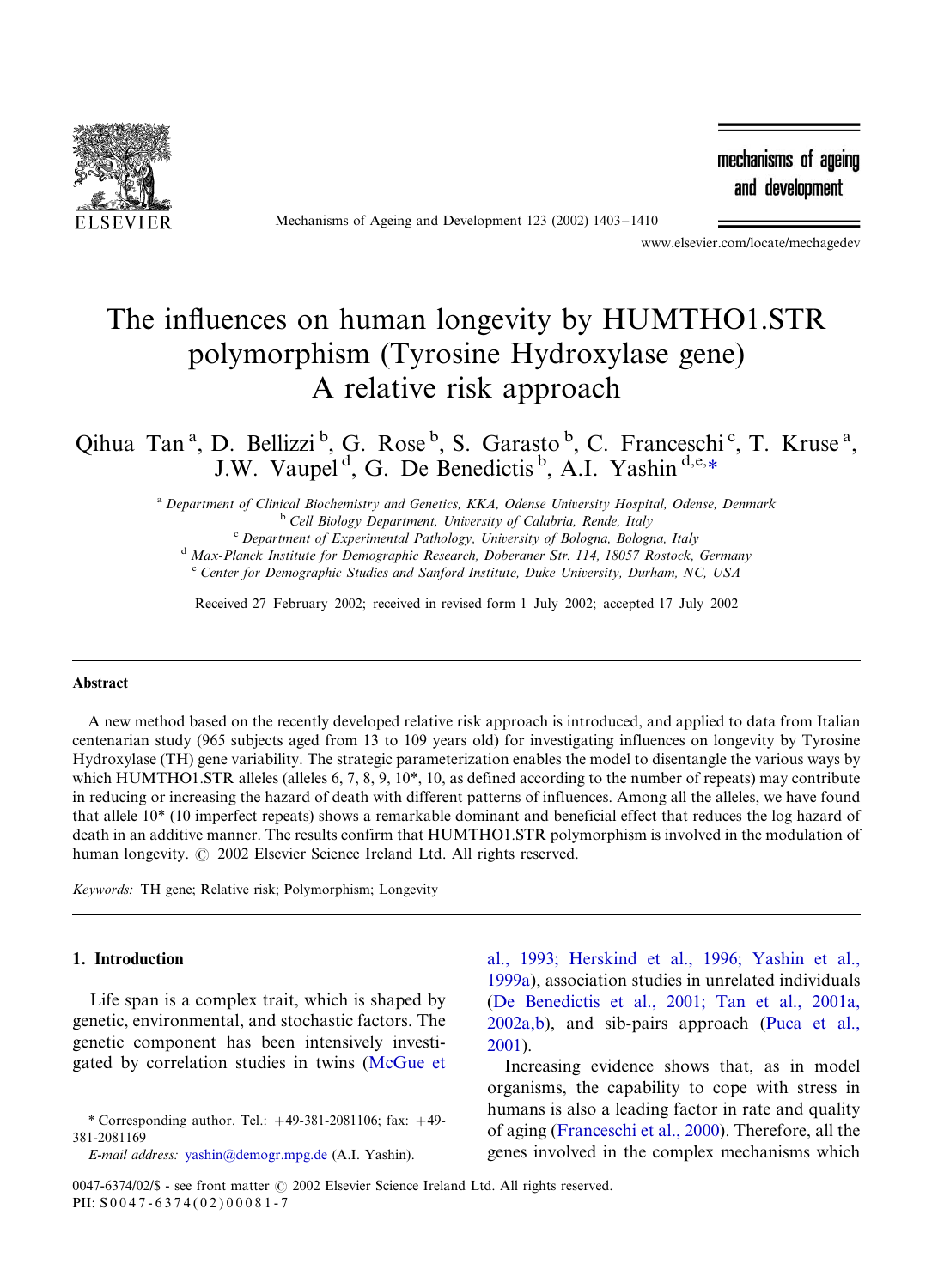

Mechanisms of Ageing and Development 123 (2002) 1403-1410

mechanisms of ageing and development

www.elsevier.com/locate/mechagedev

# The influences on human longevity by HUMTHO1.STR polymorphism (Tyrosine Hydroxylase gene) A relative risk approach

Qihua Tan<sup>a</sup>, D. Bellizzi<sup>b</sup>, G. Rose<sup>b</sup>, S. Garasto<sup>b</sup>, C. Franceschi<sup>c</sup>, T. Kruse<sup>a</sup>, J.W. Vaupel<sup>d</sup>, G. De Benedictis<sup>b</sup>, A.I. Yashin<sup>d,e,\*</sup>

a Department of Clinical Biochemistry and Genetics, KKA, Odense University Hospital, Odense, Denmark<br>
<sup>b</sup> Cell Biology Department, University of Calabria, Rende, Italy<br>
<sup>c</sup> Department of Experimental Pathology, University

<sup>d</sup> Max-Planck Institute for Demographic Research, Doberaner Str. 114, 18057 Rostock, Germany

 $\epsilon$  Center for Demographic Studies and Sanford Institute, Duke University, Durham, NC, USA

Received 27 February 2002; received in revised form 1 July 2002; accepted 17 July 2002

#### Abstract

A new method based on the recently developed relative risk approach is introduced, and applied to data from Italian centenarian study (965 subjects aged from 13 to 109 years old) for investigating influences on longevity by Tyrosine Hydroxylase (TH) gene variability. The strategic parameterization enables the model to disentangle the various ways by which HUMTHO1.STR alleles (alleles 6, 7, 8, 9, 10\*, 10, as defined according to the number of repeats) may contribute in reducing or increasing the hazard of death with different patterns of influences. Among all the alleles, we have found that allele 10\* (10 imperfect repeats) shows a remarkable dominant and beneficial effect that reduces the log hazard of death in an additive manner. The results confirm that HUMTHO1.STR polymorphism is involved in the modulation of human longevity.  $\odot$  2002 Elsevier Science Ireland Ltd. All rights reserved.

Keywords: TH gene; Relative risk; Polymorphism; Longevity

### 1. Introduction

Life span is a complex trait, which is shaped by genetic, environmental, and stochastic factors. The genetic component has been intensively investigated by correlation studies in twins [\(McGue et](#page-6-0)

[al., 1993; Herskind et al., 1996; Yashin et al.,](#page-6-0) [1999a\)](#page-6-0), association studies in unrelated individuals [\(De Benedictis et al., 2001; Tan et al., 2001a,](#page-6-0) [2002a,b](#page-6-0)), and sib-pairs approach ([Puca et al.,](#page-7-0) [2001\)](#page-7-0).

Increasing evidence shows that, as in model organisms, the capability to cope with stress in humans is also a leading factor in rate and quality of aging ([Franceschi et al., 2000\)](#page-6-0). Therefore, all the genes involved in the complex mechanisms which

<sup>\*</sup> Corresponding author. Tel.:  $+49-381-2081106$ ; fax:  $+49-$ 381-2081169

E-mail address: [yashin@demogr.mpg.de](mailto:yashin@demogr.mpg.de) (A.I. Yashin).

<sup>0047-6374/02/\$ -</sup> see front matter  $\odot$  2002 Elsevier Science Ireland Ltd. All rights reserved. PII: S 0 0 4 7 - 6 3 7 4 ( 0 2 ) 0 0 0 8 1 - 7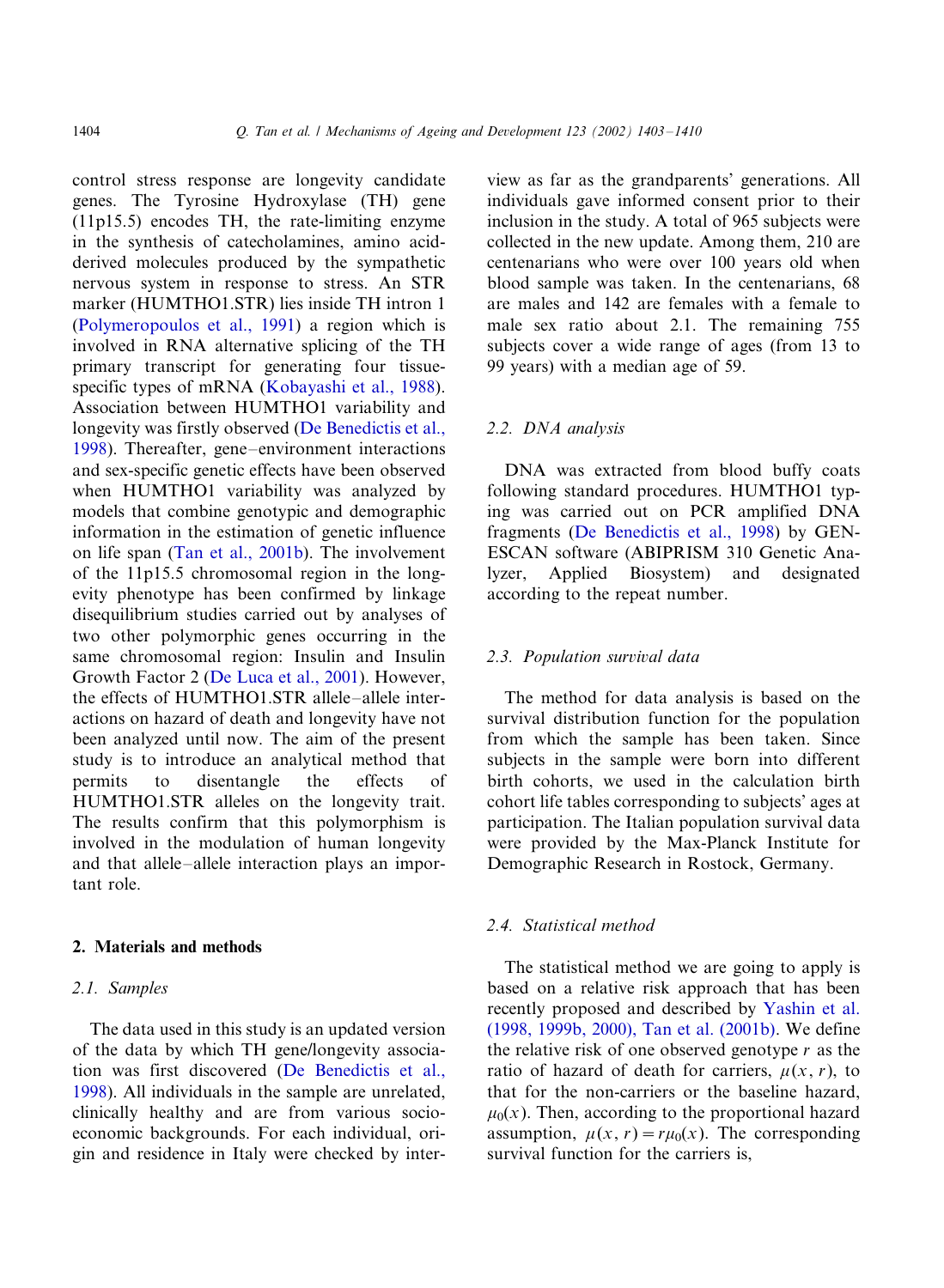control stress response are longevity candidate genes. The Tyrosine Hydroxylase (TH) gene (11p15.5) encodes TH, the rate-limiting enzyme in the synthesis of catecholamines, amino acidderived molecules produced by the sympathetic nervous system in response to stress. An STR marker (HUMTHO1.STR) lies inside TH intron 1 [\(Polymeropoulos et al., 1991](#page-7-0)) a region which is involved in RNA alternative splicing of the TH primary transcript for generating four tissue-specific types of mRNA [\(Kobayashi et al., 1988\)](#page-6-0). Association between HUMTHO1 variability and longevity was firstly observed ([De Benedictis et al.,](#page-6-0) [1998\)](#page-6-0). Thereafter, gene-environment interactions and sex-specific genetic effects have been observed when HUMTHO1 variability was analyzed by models that combine genotypic and demographic information in the estimation of genetic influence on life span [\(Tan et al., 2001b\)](#page-7-0). The involvement of the 11p15.5 chromosomal region in the longevity phenotype has been confirmed by linkage disequilibrium studies carried out by analyses of two other polymorphic genes occurring in the same chromosomal region: Insulin and Insulin Growth Factor 2 ([De Luca et al., 2001](#page-6-0)). However, the effects of HUMTHO1.STR allele-allele interactions on hazard of death and longevity have not been analyzed until now. The aim of the present study is to introduce an analytical method that permits to disentangle the effects of HUMTHO1.STR alleles on the longevity trait. The results confirm that this polymorphism is involved in the modulation of human longevity and that allele-allele interaction plays an important role.

## 2. Materials and methods

# 2.1. Samples

The data used in this study is an updated version of the data by which TH gene/longevity association was first discovered [\(De Benedictis et al.,](#page-6-0) [1998\)](#page-6-0). All individuals in the sample are unrelated, clinically healthy and are from various socioeconomic backgrounds. For each individual, origin and residence in Italy were checked by interview as far as the grandparents' generations. All individuals gave informed consent prior to their inclusion in the study. A total of 965 subjects were collected in the new update. Among them, 210 are centenarians who were over 100 years old when blood sample was taken. In the centenarians, 68 are males and 142 are females with a female to male sex ratio about 2.1. The remaining 755 subjects cover a wide range of ages (from 13 to 99 years) with a median age of 59.

## 2.2. DNA analysis

DNA was extracted from blood buffy coats following standard procedures. HUMTHO1 typing was carried out on PCR amplified DNA fragments [\(De Benedictis et al., 1998\)](#page-6-0) by GEN-ESCAN software (ABIPRISM 310 Genetic Analyzer, Applied Biosystem) and designated according to the repeat number.

#### 2.3. Population survival data

The method for data analysis is based on the survival distribution function for the population from which the sample has been taken. Since subjects in the sample were born into different birth cohorts, we used in the calculation birth cohort life tables corresponding to subjects' ages at participation. The Italian population survival data were provided by the Max-Planck Institute for Demographic Research in Rostock, Germany.

# 2.4. Statistical method

The statistical method we are going to apply is based on a relative risk approach that has been recently proposed and described by [Yashin et al.](#page-7-0) [\(1998, 1999b, 2000\), Tan et al. \(2001b\)](#page-7-0). We define the relative risk of one observed genotype  $r$  as the ratio of hazard of death for carriers,  $\mu(x, r)$ , to that for the non-carriers or the baseline hazard,  $\mu_0(x)$ . Then, according to the proportional hazard assumption,  $u(x, r) = ru_0(x)$ . The corresponding survival function for the carriers is,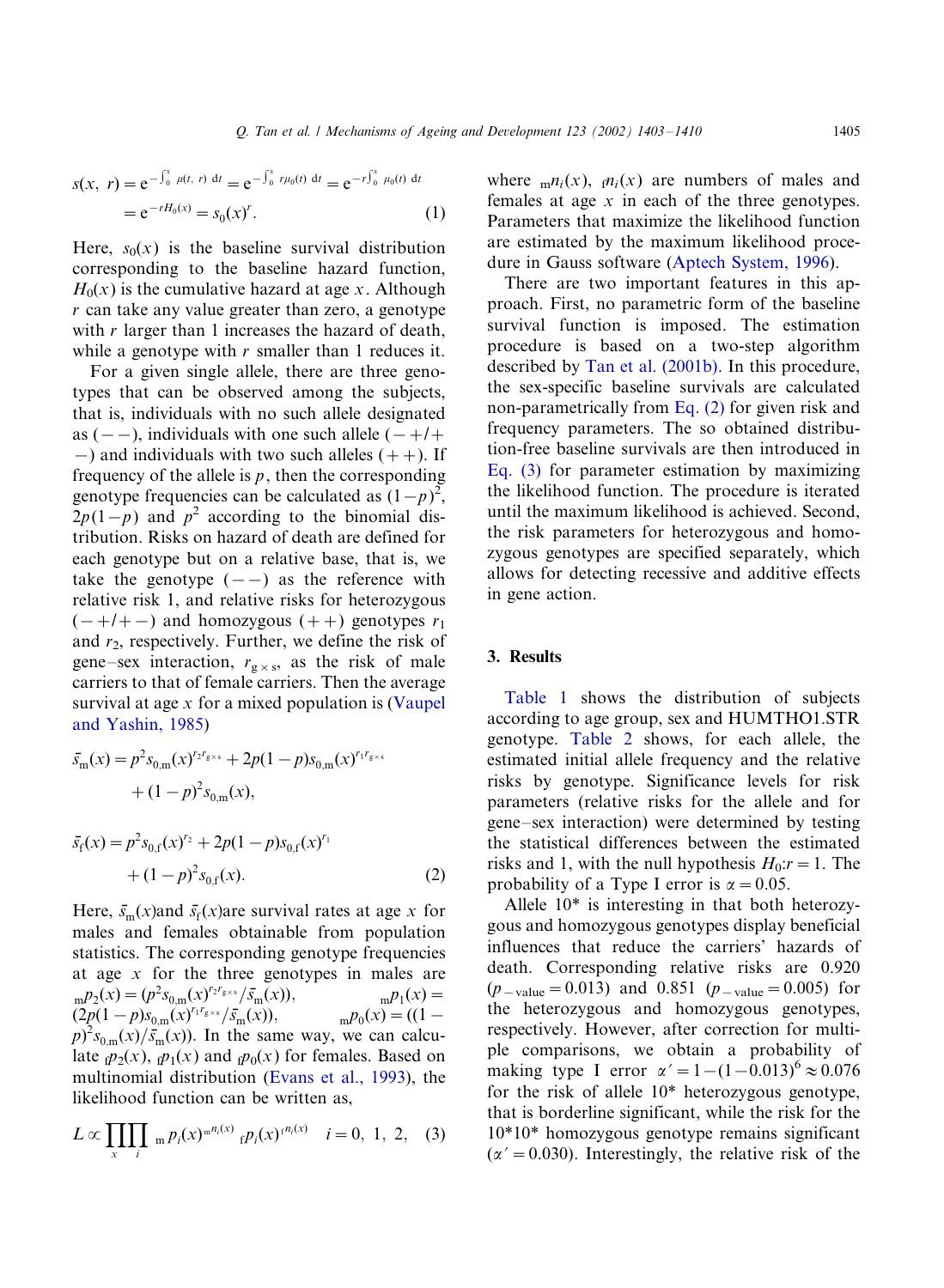$$
s(x, r) = e^{-\int_0^x \mu(t, r) dt} = e^{-\int_0^x r\mu_0(t) dt} = e^{-r\int_0^x \mu_0(t) dt}
$$
  
=  $e^{-rH_0(x)} = s_0(x)^r$ . (1)

Here,  $s_0(x)$  is the baseline survival distribution corresponding to the baseline hazard function,  $H<sub>0</sub>(x)$  is the cumulative hazard at age x. Although r can take any value greater than zero, a genotype with  $r$  larger than 1 increases the hazard of death, while a genotype with  $r$  smaller than 1 reduces it.

For a given single allele, there are three genotypes that can be observed among the subjects, that is, individuals with no such allele designated as  $(--)$ , individuals with one such allele  $(-+/-)$  $-$ ) and individuals with two such alleles (++). If frequency of the allele is  $p$ , then the corresponding genotype frequencies can be calculated as  $(1-p)^2$ ,  $2p(1-p)$  and  $p^2$  according to the binomial distribution. Risks on hazard of death are defined for each genotype but on a relative base, that is, we take the genotype  $(--)$  as the reference with relative risk 1, and relative risks for heterozygous  $(-+/-)$  and homozygous  $(++)$  genotypes  $r_1$ and  $r_2$ , respectively. Further, we define the risk of gene–sex interaction,  $r_{g \times s}$ , as the risk of male carriers to that of female carriers. Then the average survival at age  $x$  for a mixed population is ([Vaupel](#page-7-0) [and Yashin, 1985](#page-7-0))

$$
\bar{s}_{\mathbf{m}}(x) = p^2 s_{0,\mathbf{m}}(x)^{r_2 r_{\mathbf{g} \times \mathbf{s}}} + 2p(1-p)s_{0,\mathbf{m}}(x)^{r_1 r_{\mathbf{g} \times \mathbf{s}}} \n+ (1-p)^2 s_{0,\mathbf{m}}(x),
$$

$$
\bar{s}_{f}(x) = p^{2} s_{0,f}(x)^{r_{2}} + 2p(1-p)s_{0,f}(x)^{r_{1}} + (1-p)^{2} s_{0,f}(x).
$$
\n(2)

Here,  $\bar{s}_{m}(x)$  and  $\bar{s}_{f}(x)$  are survival rates at age x for males and females obtainable from population statistics. The corresponding genotype frequencies at age x for the three genotypes in males are  $_{\text{m}}p_2(x) = (p^2s_{0,\text{m}}(x)^{r_2r_{\text{g}\times\text{s}}}/\bar{s}_1)$  $_{\text{m}}p_1(x) =$  $(2p(1-p)s_{0,m}(x)^{r_1r_{g}\times s}/\bar{s}_1)$  $_{\rm m}p_0(x)$  = ((1 –  $(p)^2 s_{0,m}(x) / \overline{s}_m(x)$ . In the same way, we can calculate  $\oint p_2(x)$ ,  $\oint p_1(x)$  and  $\oint p_0(x)$  for females. Based on multinomial distribution (Ev[ans et al., 1993\)](#page-6-0), the likelihood function can be written as,

$$
L \propto \prod_{x} \prod_{i} m p_i(x)^{m n_i(x)} f p_i(x)^{n_i(x)} \quad i = 0, 1, 2, (3)
$$

where  $_m n_i(x)$ ,  $_m n_i(x)$  are numbers of males and females at age  $x$  in each of the three genotypes. Parameters that maximize the likelihood function are estimated by the maximum likelihood procedure in Gauss software ([Aptech System, 1996](#page-6-0)).

There are two important features in this approach. First, no parametric form of the baseline survival function is imposed. The estimation procedure is based on a two-step algorithm described by [Tan et al. \(2001b\)](#page-7-0). In this procedure, the sex-specific baseline survivals are calculated non-parametrically from Eq. (2) for given risk and frequency parameters. The so obtained distribution-free baseline survivals are then introduced in Eq. (3) for parameter estimation by maximizing the likelihood function. The procedure is iterated until the maximum likelihood is achieved. Second, the risk parameters for heterozygous and homozygous genotypes are specified separately, which allows for detecting recessive and additive effects in gene action.

## 3. Results

[Table 1](#page-3-0) shows the distribution of subjects according to age group, sex and HUMTHO1.STR genotype. [Table 2](#page-3-0) shows, for each allele, the estimated initial allele frequency and the relative risks by genotype. Significance levels for risk parameters (relative risks for the allele and for gene–sex interaction) were determined by testing the statistical differences between the estimated risks and 1, with the null hypothesis  $H_0: = 1$ . The probability of a Type I error is  $\alpha = 0.05$ .

Allele 10\* is interesting in that both heterozygous and homozygous genotypes display beneficial influences that reduce the carriers' hazards of death. Corresponding relative risks are 0.920  $(p_{\text{value}} = 0.013)$  and 0.851  $(p_{\text{value}} = 0.005)$  for the heterozygous and homozygous genotypes, respectively. However, after correction for multiple comparisons, we obtain a probability of making type I error  $\alpha' = 1 - (1 - 0.013)^6 \approx 0.076$ for the risk of allele 10\* heterozygous genotype, that is borderline significant, while the risk for the 10\*10\* homozygous genotype remains significant  $(\alpha' = 0.030)$ . Interestingly, the relative risk of the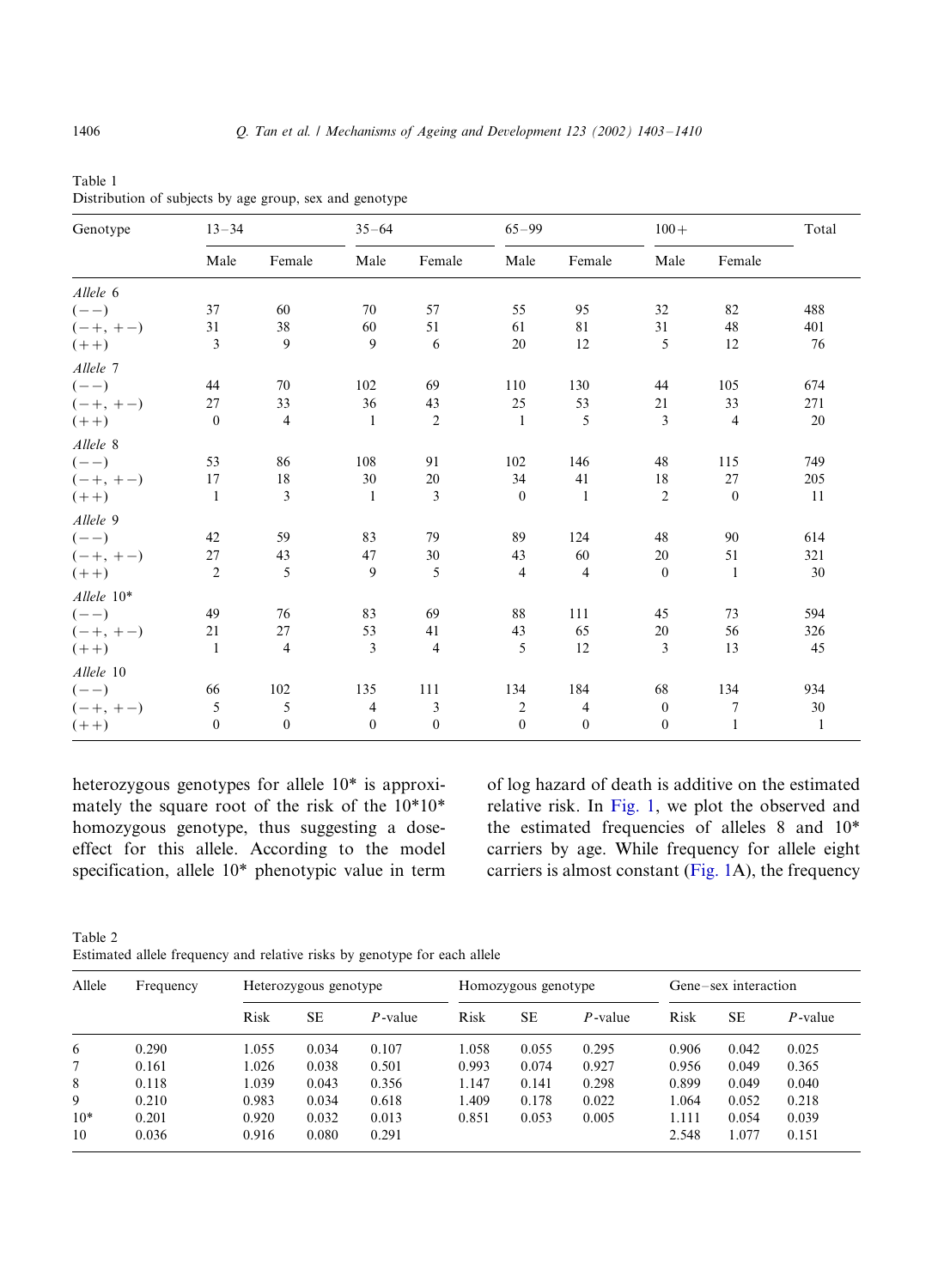| Genotype     | $13 - 34$      |                  | $35 - 64$        |                  | $65 - 99$      |                | $100 +$          |              | Total        |
|--------------|----------------|------------------|------------------|------------------|----------------|----------------|------------------|--------------|--------------|
|              | Male           | Female           | Male             | Female           | Male           | Female         | Male             | Female       |              |
| Allele 6     |                |                  |                  |                  |                |                |                  |              |              |
| $(--)$       | 37             | 60               | 70               | 57               | 55             | 95             | 32               | 82           | 488          |
| $(-+, +-)$   | 31             | 38               | 60               | 51               | 61             | 81             | 31               | 48           | 401          |
| $(++)$       | 3              | 9                | 9                | 6                | 20             | 12             | 5                | 12           | 76           |
| Allele 7     |                |                  |                  |                  |                |                |                  |              |              |
| $(- -)$      | 44             | 70               | 102              | 69               | 110            | 130            | 44               | 105          | 674          |
| $(-+, +-)$   | 27             | 33               | 36               | 43               | 25             | 53             | 21               | 33           | 271          |
| $(++)$       | $\theta$       | $\overline{4}$   | $\mathbf{1}$     | $\mathfrak{2}$   | $\mathbf{1}$   | 5              | 3                | 4            | 20           |
| Allele 8     |                |                  |                  |                  |                |                |                  |              |              |
| $(- -)$      | 53             | 86               | 108              | 91               | 102            | 146            | 48               | 115          | 749          |
| $(-+, +-)$   | 17             | 18               | 30               | 20               | 34             | 41             | 18               | 27           | 205          |
| $(++)$       | $\mathbf{1}$   | 3                | $\mathbf{1}$     | 3                | $\mathbf{0}$   | $\mathbf{1}$   | $\overline{2}$   | $\mathbf{0}$ | 11           |
| Allele 9     |                |                  |                  |                  |                |                |                  |              |              |
| $(- -)$      | 42             | 59               | 83               | 79               | 89             | 124            | 48               | 90           | 614          |
| $(-+, +-)$   | 27             | 43               | 47               | 30               | 43             | 60             | 20               | 51           | 321          |
| $(++)$       | $\overline{2}$ | 5                | 9                | 5                | $\overline{4}$ | $\overline{4}$ | $\mathbf{0}$     | $\mathbf{1}$ | 30           |
| $Allele 10*$ |                |                  |                  |                  |                |                |                  |              |              |
| $(- -)$      | 49             | 76               | 83               | 69               | 88             | 111            | 45               | 73           | 594          |
| $(-+, +-)$   | 21             | 27               | 53               | 41               | 43             | 65             | 20               | 56           | 326          |
| $(++)$       | $\mathbf{1}$   | 4                | 3                | 4                | 5              | 12             | 3                | 13           | 45           |
| Allele 10    |                |                  |                  |                  |                |                |                  |              |              |
| $(- -)$      | 66             | 102              | 135              | 111              | 134            | 184            | 68               | 134          | 934          |
| $(-+, +-)$   | 5              | 5                | 4                | 3                | 2              | 4              | $\boldsymbol{0}$ | 7            | 30           |
| $(++)$       | $\mathbf{0}$   | $\boldsymbol{0}$ | $\boldsymbol{0}$ | $\boldsymbol{0}$ | $\mathbf{0}$   | $\mathbf{0}$   | $\boldsymbol{0}$ | 1            | $\mathbf{1}$ |

<span id="page-3-0"></span>Table 1 Distribution of subjects by age group, sex and genotype

heterozygous genotypes for allele 10\* is approximately the square root of the risk of the 10\*10\* homozygous genotype, thus suggesting a doseeffect for this allele. According to the model specification, allele 10\* phenotypic value in term of log hazard of death is additive on the estimated relative risk. In [Fig. 1,](#page-4-0) we plot the observed and the estimated frequencies of alleles 8 and 10\* carriers by age. While frequency for allele eight carriers is almost constant ([Fig. 1](#page-4-0)A), the frequency

Table 2 Estimated allele frequency and relative risks by genotype for each allele

| Allele | Frequency | Heterozygous genotype |       |            | Homozygous genotype |           |            | Gene-sex interaction |       |            |
|--------|-----------|-----------------------|-------|------------|---------------------|-----------|------------|----------------------|-------|------------|
|        |           | Risk                  | SЕ    | $P$ -value | Risk                | <b>SE</b> | $P$ -value | Risk                 | SЕ    | $P$ -value |
| 6      | 0.290     | 1.055                 | 0.034 | 0.107      | 1.058               | 0.055     | 0.295      | 0.906                | 0.042 | 0.025      |
|        | 0.161     | 1.026                 | 0.038 | 0.501      | 0.993               | 0.074     | 0.927      | 0.956                | 0.049 | 0.365      |
| 8      | 0.118     | 1.039                 | 0.043 | 0.356      | 1.147               | 0.141     | 0.298      | 0.899                | 0.049 | 0.040      |
| 9      | 0.210     | 0.983                 | 0.034 | 0.618      | 1.409               | 0.178     | 0.022      | 1.064                | 0.052 | 0.218      |
| $10*$  | 0.201     | 0.920                 | 0.032 | 0.013      | 0.851               | 0.053     | 0.005      | 1.111                | 0.054 | 0.039      |
| 10     | 0.036     | 0.916                 | 0.080 | 0.291      |                     |           |            | 2.548                | 1.077 | 0.151      |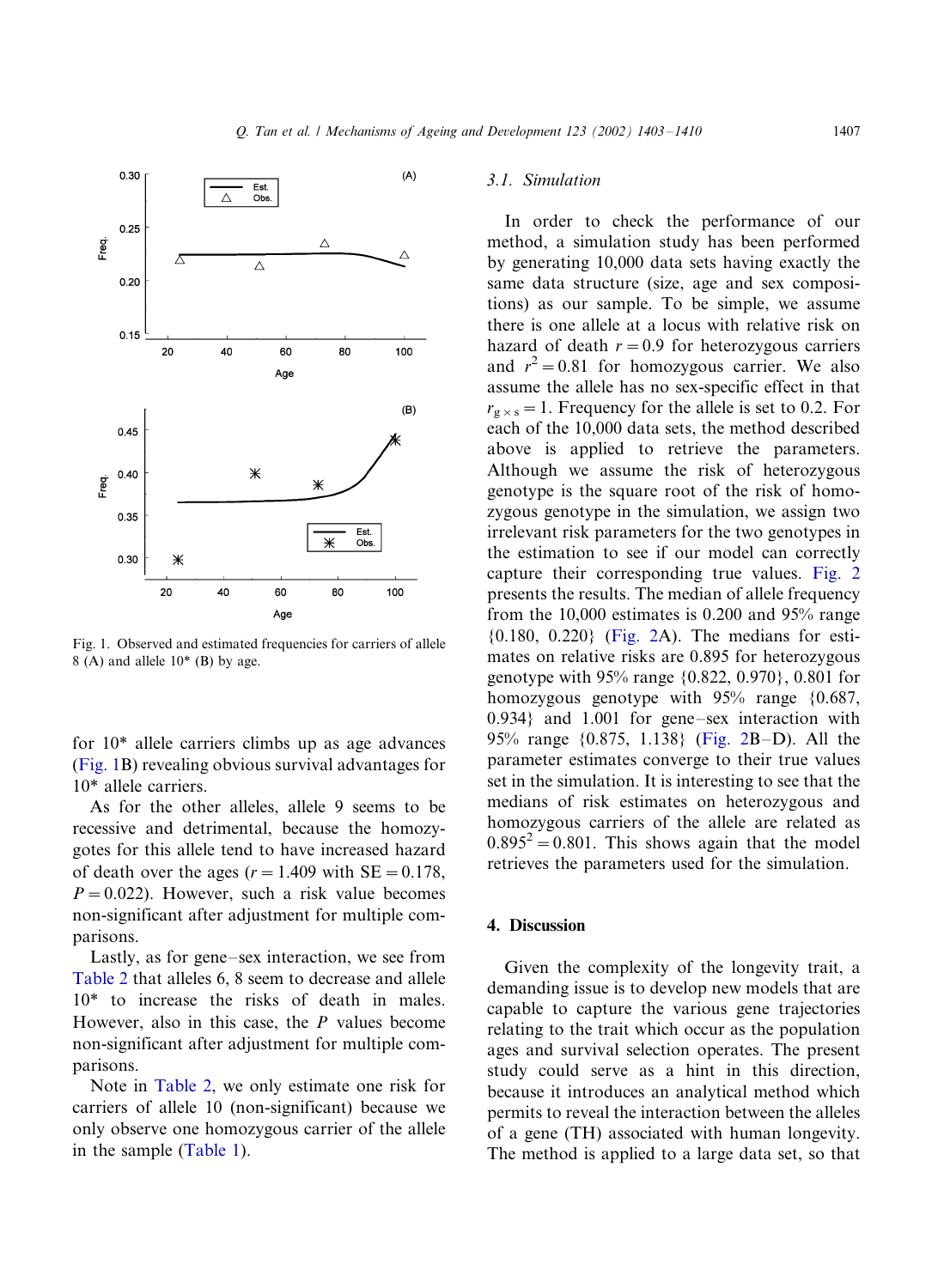<span id="page-4-0"></span>

Fig. 1. Observed and estimated frequencies for carriers of allele  $8(A)$  and allele  $10^*(B)$  by age.

for 10\* allele carriers climbs up as age advances (Fig. 1B) revealing obvious survival advantages for 10\* allele carriers.

As for the other alleles, allele 9 seems to be recessive and detrimental, because the homozygotes for this allele tend to have increased hazard of death over the ages ( $r=1.409$  with SE = 0.178,  $P = 0.022$ ). However, such a risk value becomes non-significant after adjustment for multiple comparisons.

Lastly, as for gene-sex interaction, we see from [Table 2](#page-3-0) that alleles 6, 8 seem to decrease and allele 10\* to increase the risks of death in males. However, also in this case, the  $P$  values become non-significant after adjustment for multiple comparisons.

Note in [Table 2](#page-3-0), we only estimate one risk for carriers of allele 10 (non-significant) because we only observe one homozygous carrier of the allele in the sample [\(Table 1\)](#page-3-0).

## 3.1. Simulation

In order to check the performance of our method, a simulation study has been performed by generating 10,000 data sets having exactly the same data structure (size, age and sex compositions) as our sample. To be simple, we assume there is one allele at a locus with relative risk on hazard of death  $r=0.9$  for heterozygous carriers and  $r^2 = 0.81$  for homozygous carrier. We also assume the allele has no sex-specific effect in that  $r_{g \times s} = 1$ . Frequency for the allele is set to 0.2. For each of the 10,000 data sets, the method described above is applied to retrieve the parameters. Although we assume the risk of heterozygous genotype is the square root of the risk of homozygous genotype in the simulation, we assign two irrelevant risk parameters for the two genotypes in the estimation to see if our model can correctly capture their corresponding true values. [Fig. 2](#page-5-0) presents the results. The median of allele frequency from the 10,000 estimates is 0.200 and 95% range {0.180, 0.220} [\(Fig. 2A](#page-5-0)). The medians for estimates on relative risks are 0.895 for heterozygous genotype with 95% range {0.822, 0.970}, 0.801 for homozygous genotype with 95% range {0.687,  $0.934$ } and  $1.001$  for gene-sex interaction with 95% range {0.875, 1.138} ([Fig. 2B](#page-5-0)-D). All the parameter estimates converge to their true values set in the simulation. It is interesting to see that the medians of risk estimates on heterozygous and homozygous carriers of the allele are related as  $0.895^2 = 0.801$ . This shows again that the model retrieves the parameters used for the simulation.

# 4. Discussion

Given the complexity of the longevity trait, a demanding issue is to develop new models that are capable to capture the various gene trajectories relating to the trait which occur as the population ages and survival selection operates. The present study could serve as a hint in this direction, because it introduces an analytical method which permits to reveal the interaction between the alleles of a gene (TH) associated with human longevity. The method is applied to a large data set, so that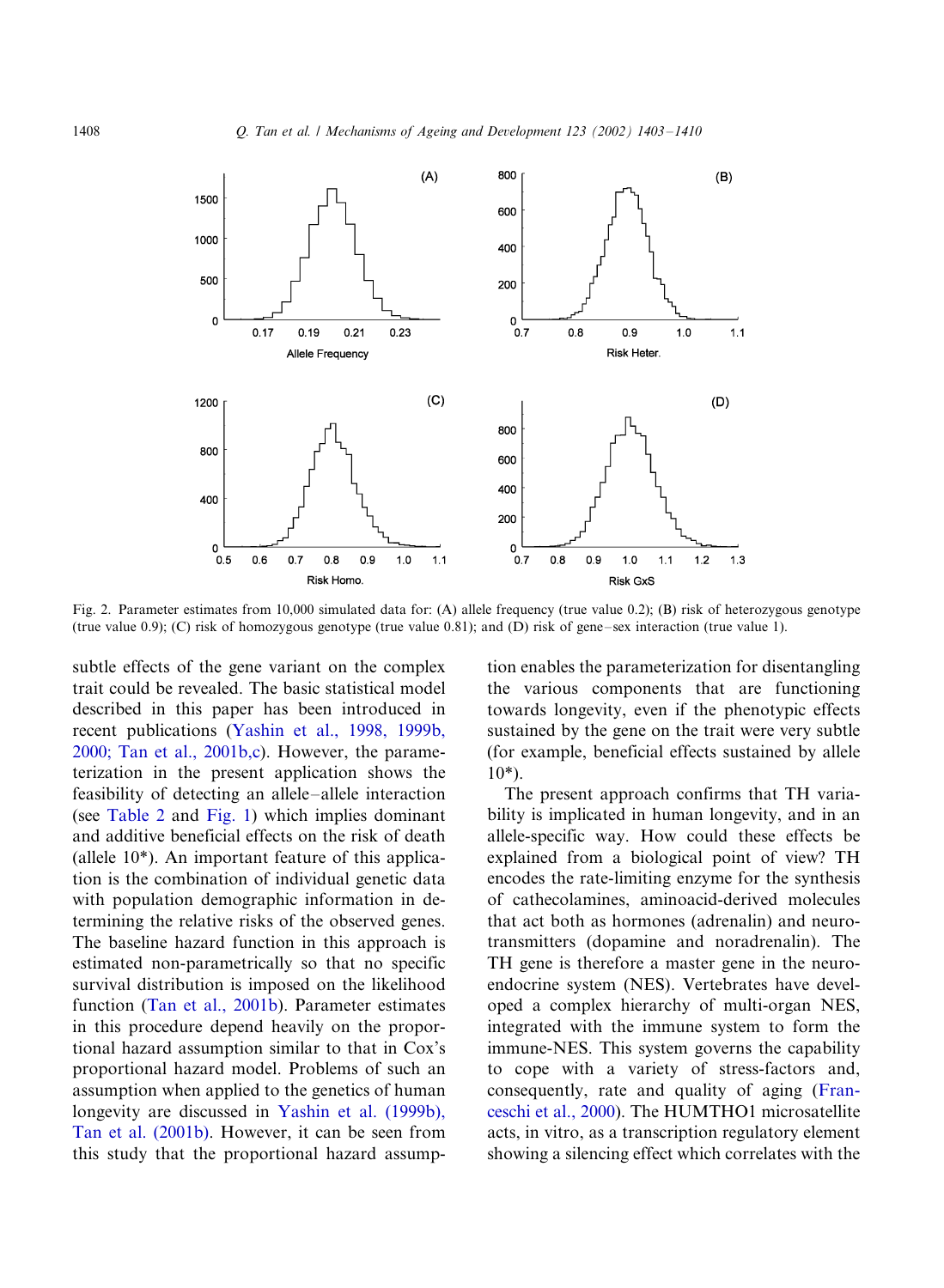<span id="page-5-0"></span>

Fig. 2. Parameter estimates from 10,000 simulated data for: (A) allele frequency (true value 0.2); (B) risk of heterozygous genotype (true value 0.9); (C) risk of homozygous genotype (true value 0.81); and (D) risk of gene–sex interaction (true value 1).

subtle effects of the gene variant on the complex trait could be revealed. The basic statistical model described in this paper has been introduced in recent publications ([Yashin et al., 1998, 1999b,](#page-7-0) [2000; Tan et al., 2001b,c](#page-7-0)). However, the parameterization in the present application shows the feasibility of detecting an allele-allele interaction (see [Table 2](#page-3-0) and [Fig. 1](#page-4-0)) which implies dominant and additive beneficial effects on the risk of death (allele 10\*). An important feature of this application is the combination of individual genetic data with population demographic information in determining the relative risks of the observed genes. The baseline hazard function in this approach is estimated non-parametrically so that no specific survival distribution is imposed on the likelihood function ([Tan et al., 2001b](#page-7-0)). Parameter estimates in this procedure depend heavily on the proportional hazard assumption similar to that in Cox's proportional hazard model. Problems of such an assumption when applied to the genetics of human longevity are discussed in [Yashin et al. \(1999b\),](#page-7-0) [Tan et al. \(2001b\).](#page-7-0) However, it can be seen from this study that the proportional hazard assump-

tion enables the parameterization for disentangling the various components that are functioning towards longevity, even if the phenotypic effects sustained by the gene on the trait were very subtle (for example, beneficial effects sustained by allele 10\*).

The present approach confirms that TH variability is implicated in human longevity, and in an allele-specific way. How could these effects be explained from a biological point of view? TH encodes the rate-limiting enzyme for the synthesis of cathecolamines, aminoacid-derived molecules that act both as hormones (adrenalin) and neurotransmitters (dopamine and noradrenalin). The TH gene is therefore a master gene in the neuroendocrine system (NES). Vertebrates have developed a complex hierarchy of multi-organ NES, integrated with the immune system to form the immune-NES. This system governs the capability to cope with a variety of stress-factors and, consequently, rate and quality of aging ([Fran](#page-6-0)[ceschi et al., 2000\)](#page-6-0). The HUMTHO1 microsatellite acts, in vitro, as a transcription regulatory element showing a silencing effect which correlates with the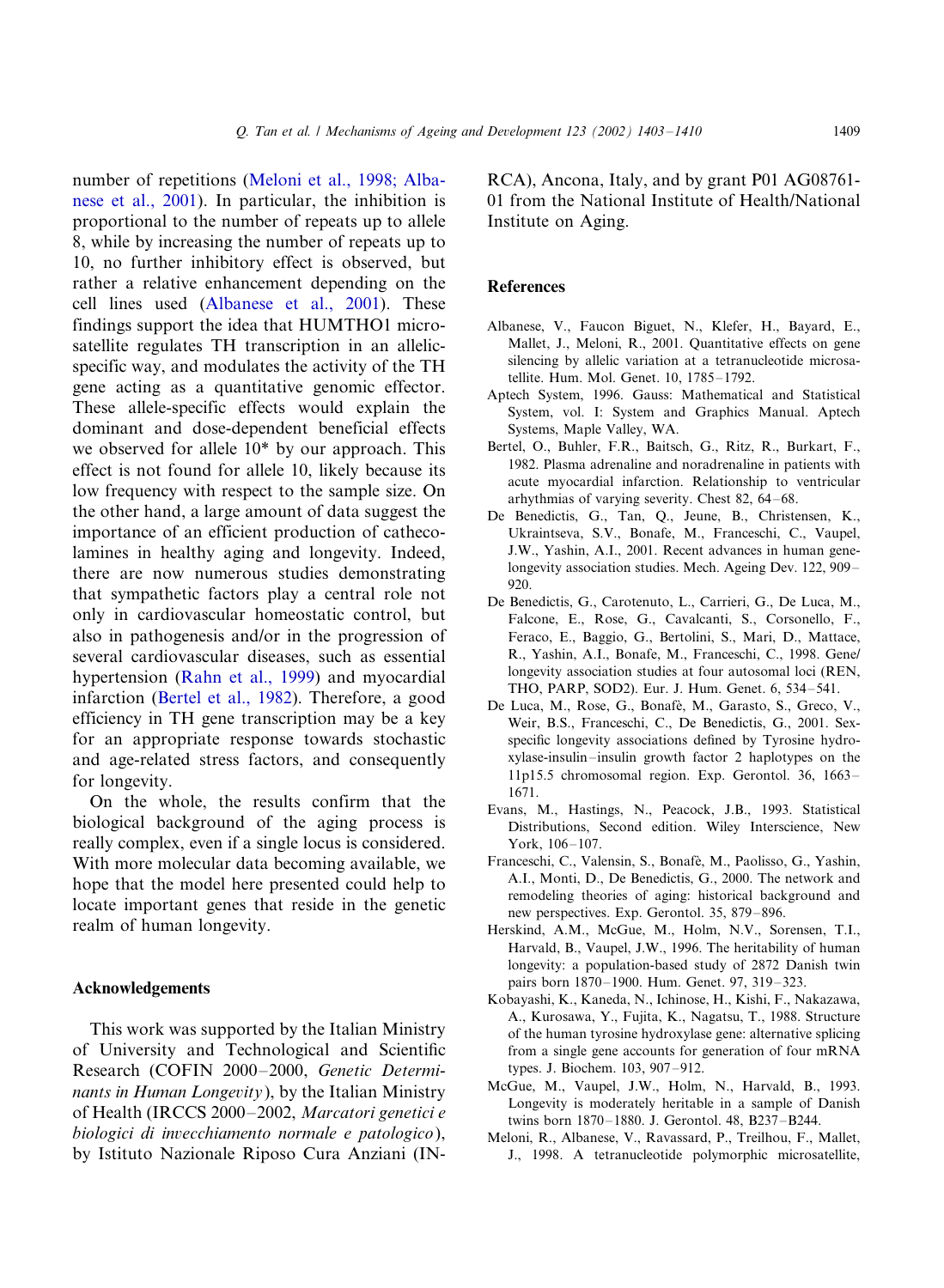<span id="page-6-0"></span>number of repetitions (Meloni et al., 1998; Albanese et al., 2001). In particular, the inhibition is proportional to the number of repeats up to allele 8, while by increasing the number of repeats up to 10, no further inhibitory effect is observed, but rather a relative enhancement depending on the cell lines used (Albanese et al., 2001). These findings support the idea that HUMTHO1 microsatellite regulates TH transcription in an allelicspecific way, and modulates the activity of the TH gene acting as a quantitative genomic effector. These allele-specific effects would explain the dominant and dose-dependent beneficial effects we observed for allele 10\* by our approach. This effect is not found for allele 10, likely because its low frequency with respect to the sample size. On the other hand, a large amount of data suggest the importance of an efficient production of cathecolamines in healthy aging and longevity. Indeed, there are now numerous studies demonstrating that sympathetic factors play a central role not only in cardiovascular homeostatic control, but also in pathogenesis and/or in the progression of several cardiovascular diseases, such as essential hypertension [\(Rahn et al., 1999](#page-7-0)) and myocardial infarction (Bertel et al., 1982). Therefore, a good efficiency in TH gene transcription may be a key for an appropriate response towards stochastic and age-related stress factors, and consequently for longevity.

On the whole, the results confirm that the biological background of the aging process is really complex, even if a single locus is considered. With more molecular data becoming available, we hope that the model here presented could help to locate important genes that reside in the genetic realm of human longevity.

# Acknowledgements

This work was supported by the Italian Ministry of University and Technological and Scientific Research (COFIN 2000-2000, Genetic Determinants in Human Longevity), by the Italian Ministry of Health (IRCCS 2000-2002, Marcatori genetici e biologici di invecchiamento normale e patologico), by Istituto Nazionale Riposo Cura Anziani (IN- RCA), Ancona, Italy, and by grant P01 AG08761- 01 from the National Institute of Health/National Institute on Aging.

#### References

- Albanese, V., Faucon Biguet, N., Klefer, H., Bayard, E., Mallet, J., Meloni, R., 2001. Quantitative effects on gene silencing by allelic variation at a tetranucleotide microsatellite. Hum. Mol. Genet. 10, 1785-1792.
- Aptech System, 1996. Gauss: Mathematical and Statistical System, vol. I: System and Graphics Manual. Aptech Systems, Maple Valley, WA.
- Bertel, O., Buhler, F.R., Baitsch, G., Ritz, R., Burkart, F., 1982. Plasma adrenaline and noradrenaline in patients with acute myocardial infarction. Relationship to ventricular arhythmias of varying severity. Chest 82, 64-68.
- De Benedictis, G., Tan, Q., Jeune, B., Christensen, K., Ukraintseva, S.V., Bonafe, M., Franceschi, C., Vaupel, J.W., Yashin, A.I., 2001. Recent advances in human genelongevity association studies. Mech. Ageing Dev. 122, 909-920.
- De Benedictis, G., Carotenuto, L., Carrieri, G., De Luca, M., Falcone, E., Rose, G., Cavalcanti, S., Corsonello, F., Feraco, E., Baggio, G., Bertolini, S., Mari, D., Mattace, R., Yashin, A.I., Bonafe, M., Franceschi, C., 1998. Gene/ longevity association studies at four autosomal loci (REN, THO, PARP, SOD2). Eur. J. Hum. Genet. 6, 534-541.
- De Luca, M., Rose, G., Bonafè, M., Garasto, S., Greco, V., Weir, B.S., Franceschi, C., De Benedictis, G., 2001. Sexspecific longevity associations defined by Tyrosine hydroxylase-insulin-/insulin growth factor 2 haplotypes on the 11p15.5 chromosomal region. Exp. Gerontol. 36, 1663-/ 1671.
- Evans, M., Hastings, N., Peacock, J.B., 1993. Statistical Distributions, Second edition. Wiley Interscience, New York, 106-107.
- Franceschi, C., Valensin, S., Bonafè, M., Paolisso, G., Yashin, A.I., Monti, D., De Benedictis, G., 2000. The network and remodeling theories of aging: historical background and new perspectives. Exp. Gerontol. 35, 879–896.
- Herskind, A.M., McGue, M., Holm, N.V., Sorensen, T.I., Harvald, B., Vaupel, J.W., 1996. The heritability of human longevity: a population-based study of 2872 Danish twin pairs born 1870–1900. Hum. Genet. 97, 319–323.
- Kobayashi, K., Kaneda, N., Ichinose, H., Kishi, F., Nakazawa, A., Kurosawa, Y., Fujita, K., Nagatsu, T., 1988. Structure of the human tyrosine hydroxylase gene: alternative splicing from a single gene accounts for generation of four mRNA types. J. Biochem. 103, 907-912.
- McGue, M., Vaupel, J.W., Holm, N., Harvald, B., 1993. Longevity is moderately heritable in a sample of Danish twins born 1870–1880. J. Gerontol. 48, B237–B244.
- Meloni, R., Albanese, V., Ravassard, P., Treilhou, F., Mallet, J., 1998. A tetranucleotide polymorphic microsatellite,